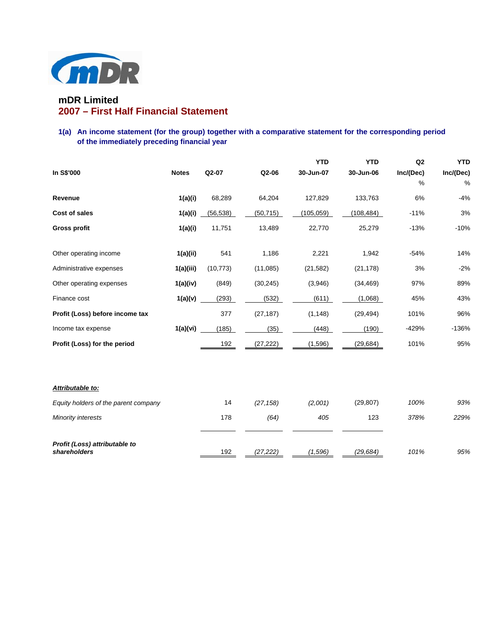

# **mDR Limited 2007 – First Half Financial Statement**

## **1(a) An income statement (for the group) together with a comparative statement for the corresponding period of the immediately preceding financial year**

|                                               |              |           |           | <b>YTD</b> | <b>YTD</b> | Q2        | <b>YTD</b> |
|-----------------------------------------------|--------------|-----------|-----------|------------|------------|-----------|------------|
| In S\$'000                                    | <b>Notes</b> | Q2-07     | Q2-06     | 30-Jun-07  | 30-Jun-06  | Inc/(Dec) | Inc/(Dec)  |
|                                               |              |           |           |            |            | %         | %          |
| Revenue                                       | 1(a)(i)      | 68,289    | 64,204    | 127,829    | 133,763    | 6%        | $-4%$      |
| <b>Cost of sales</b>                          | 1(a)(i)      | (56, 538) | (50, 715) | (105, 059) | (108, 484) | $-11%$    | 3%         |
| <b>Gross profit</b>                           | 1(a)(i)      | 11,751    | 13,489    | 22,770     | 25,279     | $-13%$    | $-10%$     |
|                                               |              |           |           |            |            |           |            |
| Other operating income                        | 1(a)(ii)     | 541       | 1,186     | 2,221      | 1,942      | $-54%$    | 14%        |
| Administrative expenses                       | 1(a)(iii)    | (10, 773) | (11,085)  | (21, 582)  | (21, 178)  | 3%        | $-2%$      |
| Other operating expenses                      | 1(a)(iv)     | (849)     | (30, 245) | (3,946)    | (34, 469)  | 97%       | 89%        |
| Finance cost                                  | 1(a)(v)      | (293)     | (532)     | (611)      | (1,068)    | 45%       | 43%        |
| Profit (Loss) before income tax               |              | 377       | (27, 187) | (1, 148)   | (29, 494)  | 101%      | 96%        |
| Income tax expense                            | 1(a)(vi)     | (185)     | (35)      | (448)      | (190)      | -429%     | $-136%$    |
| Profit (Loss) for the period                  |              | 192       | (27, 222) | (1,596)    | (29, 684)  | 101%      | 95%        |
|                                               |              |           |           |            |            |           |            |
|                                               |              |           |           |            |            |           |            |
| Attributable to:                              |              |           |           |            |            |           |            |
| Equity holders of the parent company          |              | 14        | (27, 158) | (2,001)    | (29, 807)  | 100%      | 93%        |
| Minority interests                            |              | 178       | (64)      | 405        | 123        | 378%      | 229%       |
|                                               |              |           |           |            |            |           |            |
| Profit (Loss) attributable to<br>shareholders |              | 192       | (27,222)  | (1,596)    | (29, 684)  | 101%      | 95%        |
|                                               |              |           |           |            |            |           |            |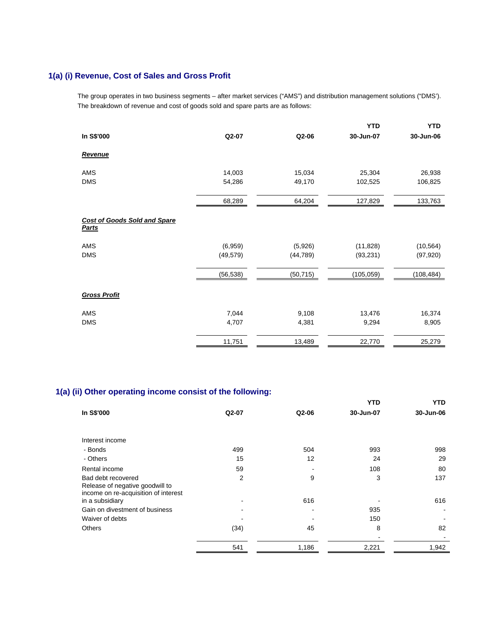# **1(a) (i) Revenue, Cost of Sales and Gross Profit**

The group operates in two business segments – after market services ("AMS") and distribution management solutions ("DMS'). The breakdown of revenue and cost of goods sold and spare parts are as follows:

|                                                     |           |           | <b>YTD</b> | <b>YTD</b> |
|-----------------------------------------------------|-----------|-----------|------------|------------|
| In S\$'000                                          | Q2-07     | Q2-06     | 30-Jun-07  | 30-Jun-06  |
| Revenue                                             |           |           |            |            |
| AMS                                                 | 14,003    | 15,034    | 25,304     | 26,938     |
| <b>DMS</b>                                          | 54,286    | 49,170    | 102,525    | 106,825    |
|                                                     | 68,289    | 64,204    | 127,829    | 133,763    |
| <b>Cost of Goods Sold and Spare</b><br><b>Parts</b> |           |           |            |            |
| AMS                                                 | (6,959)   | (5,926)   | (11, 828)  | (10, 564)  |
| <b>DMS</b>                                          | (49, 579) | (44, 789) | (93, 231)  | (97, 920)  |
|                                                     | (56, 538) | (50, 715) | (105, 059) | (108, 484) |
| <b>Gross Profit</b>                                 |           |           |            |            |
| AMS                                                 | 7,044     | 9,108     | 13,476     | 16,374     |
| <b>DMS</b>                                          | 4,707     | 4,381     | 9,294      | 8,905      |
|                                                     | 11,751    | 13,489    | 22,770     | 25,279     |

# **1(a) (ii) Other operating income consist of the following:**

|                                                                         |         |       | YTD       | <b>YTD</b> |
|-------------------------------------------------------------------------|---------|-------|-----------|------------|
| In S\$'000                                                              | $Q2-07$ | Q2-06 | 30-Jun-07 | 30-Jun-06  |
|                                                                         |         |       |           |            |
| Interest income                                                         |         |       |           |            |
| - Bonds                                                                 | 499     | 504   | 993       | 998        |
| - Others                                                                | 15      | 12    | 24        | 29         |
| Rental income                                                           | 59      |       | 108       | 80         |
| Bad debt recovered                                                      | 2       | 9     | 3         | 137        |
| Release of negative goodwill to<br>income on re-acquisition of interest |         |       |           |            |
| in a subsidiary                                                         |         | 616   |           | 616        |
| Gain on divestment of business                                          |         |       | 935       |            |
| Waiver of debts                                                         |         |       | 150       |            |
| <b>Others</b>                                                           | (34)    | 45    | 8         | 82         |
|                                                                         |         |       |           |            |
|                                                                         | 541     | 1,186 | 2,221     | 1,942      |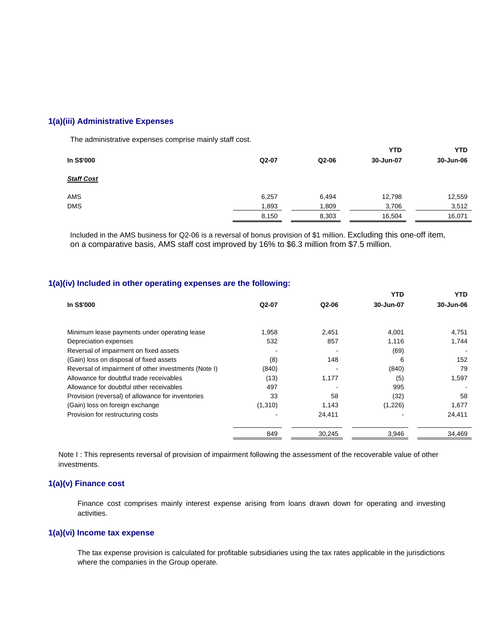## **1(a)(iii) Administrative Expenses**

The administrative expenses comprise mainly staff cost.

|                   |       |       | <b>YTD</b> | <b>YTD</b> |
|-------------------|-------|-------|------------|------------|
| In S\$'000        | Q2-07 | Q2-06 | 30-Jun-07  | 30-Jun-06  |
| <b>Staff Cost</b> |       |       |            |            |
| <b>AMS</b>        | 6,257 | 6,494 | 12,798     | 12,559     |
| <b>DMS</b>        | 1,893 | 1,809 | 3,706      | 3,512      |
|                   | 8,150 | 8,303 | 16,504     | 16,071     |

 Included in the AMS business for Q2-06 is a reversal of bonus provision of \$1 million. Excluding this one-off item, on a comparative basis, AMS staff cost improved by 16% to \$6.3 million from \$7.5 million.

### **1(a)(iv) Included in other operating expenses are the following:**

|                                                      |         |        | YTD       | YTD.      |
|------------------------------------------------------|---------|--------|-----------|-----------|
| In S\$'000                                           | Q2-07   | Q2-06  | 30-Jun-07 | 30-Jun-06 |
| Minimum lease payments under operating lease         | 1,958   | 2,451  | 4,001     | 4,751     |
| Depreciation expenses                                | 532     | 857    | 1,116     | 1,744     |
| Reversal of impairment on fixed assets               |         |        | (69)      |           |
| (Gain) loss on disposal of fixed assets              | (8)     | 148    | 6         | 152       |
| Reversal of impairment of other investments (Note I) | (840)   |        | (840)     | 79        |
| Allowance for doubtful trade receivables             | (13)    | 1,177  | (5)       | 1,597     |
| Allowance for doubtful other receivables             | 497     |        | 995       |           |
| Provision (reversal) of allowance for inventories    | 33      | 58     | (32)      | 58        |
| (Gain) loss on foreign exchange                      | (1,310) | 1,143  | (1,226)   | 1,677     |
| Provision for restructuring costs                    |         | 24,411 |           | 24,411    |
|                                                      | 849     | 30,245 | 3,946     | 34,469    |
|                                                      |         |        |           |           |

Note I : This represents reversal of provision of impairment following the assessment of the recoverable value of other investments.

## **1(a)(v) Finance cost**

Finance cost comprises mainly interest expense arising from loans drawn down for operating and investing activities.

## **1(a)(vi) Income tax expense**

The tax expense provision is calculated for profitable subsidiaries using the tax rates applicable in the jurisdictions where the companies in the Group operate.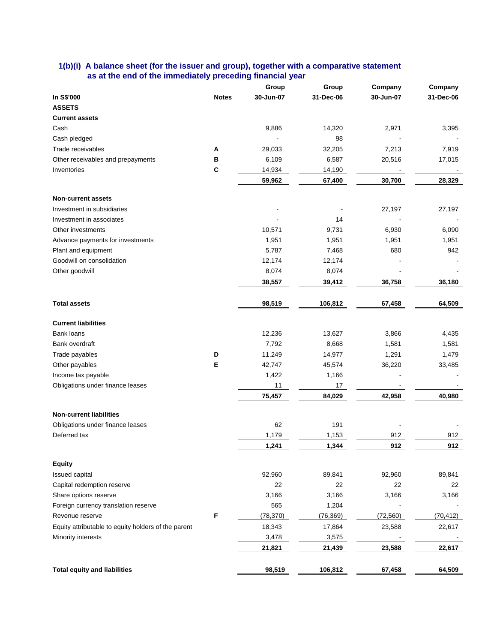### **1(b)(i) A balance sheet (for the issuer and group), together with a comparative statement as at the end of the immediately preceding financial year**

|                                                     |              | Group     | Group     | Company   | Company   |
|-----------------------------------------------------|--------------|-----------|-----------|-----------|-----------|
| In S\$'000                                          | <b>Notes</b> | 30-Jun-07 | 31-Dec-06 | 30-Jun-07 | 31-Dec-06 |
| <b>ASSETS</b>                                       |              |           |           |           |           |
| <b>Current assets</b>                               |              |           |           |           |           |
| Cash                                                |              | 9,886     | 14,320    | 2,971     | 3,395     |
| Cash pledged                                        |              |           | 98        |           |           |
| Trade receivables                                   | Α            | 29,033    | 32,205    | 7,213     | 7,919     |
| Other receivables and prepayments                   | в            | 6,109     | 6,587     | 20,516    | 17,015    |
| Inventories                                         | C            | 14,934    | 14,190    |           |           |
|                                                     |              | 59,962    | 67,400    | 30,700    | 28,329    |
| <b>Non-current assets</b>                           |              |           |           |           |           |
| Investment in subsidiaries                          |              |           |           | 27,197    | 27,197    |
| Investment in associates                            |              |           | 14        |           |           |
| Other investments                                   |              | 10,571    | 9,731     | 6,930     | 6,090     |
| Advance payments for investments                    |              | 1,951     | 1,951     | 1,951     | 1,951     |
| Plant and equipment                                 |              | 5,787     | 7,468     | 680       | 942       |
| Goodwill on consolidation                           |              | 12,174    | 12,174    |           |           |
| Other goodwill                                      |              | 8,074     | 8,074     |           |           |
|                                                     |              | 38,557    | 39,412    | 36,758    | 36,180    |
| <b>Total assets</b>                                 |              | 98,519    | 106,812   | 67,458    | 64,509    |
|                                                     |              |           |           |           |           |
| <b>Current liabilities</b>                          |              |           |           |           |           |
| <b>Bank loans</b>                                   |              | 12,236    | 13,627    | 3,866     | 4,435     |
| Bank overdraft                                      |              | 7,792     | 8,668     | 1,581     | 1,581     |
| Trade payables                                      | D            | 11,249    | 14,977    | 1,291     | 1,479     |
| Other payables                                      | Е            | 42,747    | 45,574    | 36,220    | 33,485    |
| Income tax payable                                  |              | 1,422     | 1,166     |           |           |
| Obligations under finance leases                    |              | 11        | 17        |           |           |
|                                                     |              | 75,457    | 84,029    | 42,958    | 40,980    |
| <b>Non-current liabilities</b>                      |              |           |           |           |           |
| Obligations under finance leases                    |              | 62        | 191       |           |           |
| Deferred tax                                        |              | 1,179     | 1,153     | 912       | 912       |
|                                                     |              | 1,241     | 1,344     | 912       | 912       |
| <b>Equity</b>                                       |              |           |           |           |           |
| Issued capital                                      |              | 92,960    | 89,841    | 92,960    | 89,841    |
| Capital redemption reserve                          |              | 22        | 22        | 22        | 22        |
| Share options reserve                               |              | 3,166     | 3,166     | 3,166     | 3,166     |
| Foreign currency translation reserve                |              | 565       | 1,204     |           |           |
| Revenue reserve                                     | F            | (78, 370) | (76, 369) | (72, 560) | (70, 412) |
| Equity attributable to equity holders of the parent |              | 18,343    | 17,864    | 23,588    | 22,617    |
| Minority interests                                  |              | 3,478     | 3,575     |           |           |
|                                                     |              | 21,821    | 21,439    | 23,588    | 22,617    |
|                                                     |              |           |           |           |           |
| <b>Total equity and liabilities</b>                 |              | 98,519    | 106,812   | 67,458    | 64,509    |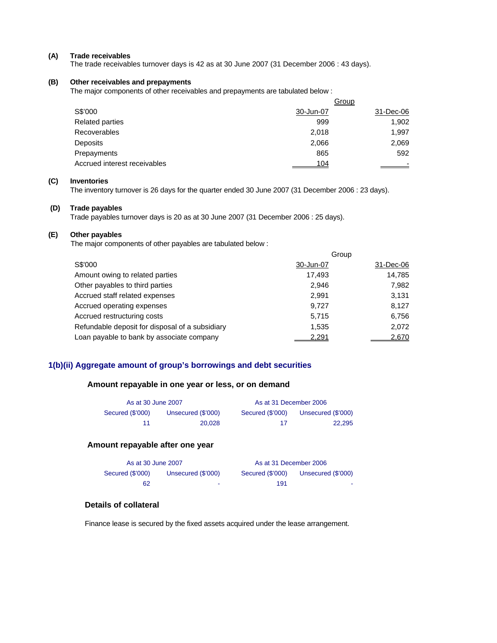#### **(A) Trade receivables**

The trade receivables turnover days is 42 as at 30 June 2007 (31 December 2006 : 43 days).

### **(B) Other receivables and prepayments**

The major components of other receivables and prepayments are tabulated below :

|                              |           | Group     |
|------------------------------|-----------|-----------|
| S\$'000                      | 30-Jun-07 | 31-Dec-06 |
| <b>Related parties</b>       | 999       | 1,902     |
| <b>Recoverables</b>          | 2,018     | 1,997     |
| Deposits                     | 2,066     | 2,069     |
| Prepayments                  | 865       | 592       |
| Accrued interest receivables | 104       |           |

## **(C) Inventories**

The inventory turnover is 26 days for the quarter ended 30 June 2007 (31 December 2006 : 23 days).

#### **(D) Trade payables**

Trade payables turnover days is 20 as at 30 June 2007 (31 December 2006 : 25 days).

#### **(E) Other payables**

The major components of other payables are tabulated below :

|                                                 |           | Group     |
|-------------------------------------------------|-----------|-----------|
| S\$'000                                         | 30-Jun-07 | 31-Dec-06 |
| Amount owing to related parties                 | 17,493    | 14,785    |
| Other payables to third parties                 | 2.946     | 7,982     |
| Accrued staff related expenses                  | 2.991     | 3.131     |
| Accrued operating expenses                      | 9.727     | 8,127     |
| Accrued restructuring costs                     | 5.715     | 6,756     |
| Refundable deposit for disposal of a subsidiary | 1,535     | 2,072     |
| Loan payable to bank by associate company       | 2.291     | 2.670     |

## **1(b)(ii) Aggregate amount of group's borrowings and debt securities**

## **Amount repayable in one year or less, or on demand**

| As at 30 June 2007 |                    | As at 31 December 2006 |                    |  |
|--------------------|--------------------|------------------------|--------------------|--|
| Secured (\$'000)   | Unsecured (\$'000) | Secured (\$'000)       | Unsecured (\$'000) |  |
| 11                 | 20.028             | 17                     | 22.295             |  |

#### **Amount repayable after one year**

| As at 30 June 2007 |                    | As at 31 December 2006 |                    |
|--------------------|--------------------|------------------------|--------------------|
| Secured (\$'000)   | Unsecured (\$'000) | Secured (\$'000)       | Unsecured (\$'000) |
| 62                 | $\sim$             | 191                    | <b>COLOR</b>       |

# **Details of collateral**

Finance lease is secured by the fixed assets acquired under the lease arrangement.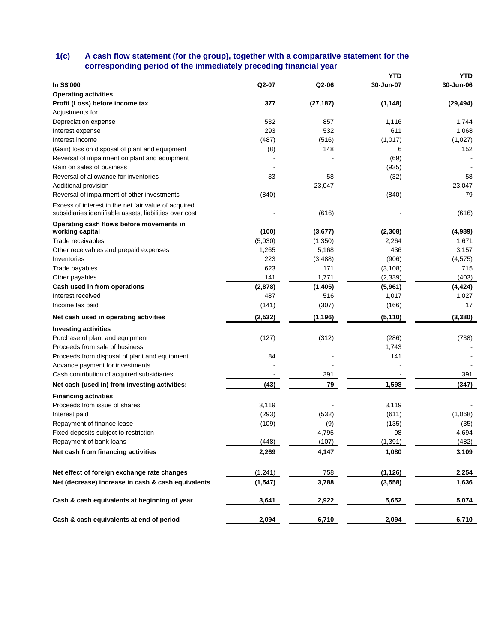### **1(c) A cash flow statement (for the group), together with a comparative statement for the corresponding period of the immediately preceding financial year**

|                                                                                                                 |          |           | YTD       | <b>YTD</b> |
|-----------------------------------------------------------------------------------------------------------------|----------|-----------|-----------|------------|
| In S\$'000                                                                                                      | Q2-07    | Q2-06     | 30-Jun-07 | 30-Jun-06  |
| <b>Operating activities</b>                                                                                     |          |           |           |            |
| Profit (Loss) before income tax                                                                                 | 377      | (27, 187) | (1, 148)  | (29, 494)  |
| Adjustments for                                                                                                 |          |           |           |            |
| Depreciation expense                                                                                            | 532      | 857       | 1,116     | 1,744      |
| Interest expense                                                                                                | 293      | 532       | 611       | 1,068      |
| Interest income                                                                                                 | (487)    | (516)     | (1,017)   | (1,027)    |
| (Gain) loss on disposal of plant and equipment                                                                  | (8)      | 148       | 6         | 152        |
| Reversal of impairment on plant and equipment                                                                   |          |           | (69)      |            |
| Gain on sales of business                                                                                       |          |           | (935)     |            |
| Reversal of allowance for inventories                                                                           | 33       | 58        | (32)      | 58         |
| Additional provision                                                                                            |          | 23,047    |           | 23,047     |
| Reversal of impairment of other investments                                                                     | (840)    |           | (840)     | 79         |
| Excess of interest in the net fair value of acquired<br>subsidiaries identifiable assets, liabilities over cost |          | (616)     |           | (616)      |
| Operating cash flows before movements in<br>working capital                                                     | (100)    | (3,677)   | (2, 308)  | (4,989)    |
| Trade receivables                                                                                               | (5,030)  | (1,350)   | 2,264     | 1,671      |
| Other receivables and prepaid expenses                                                                          | 1,265    | 5,168     | 436       | 3,157      |
| Inventories                                                                                                     | 223      | (3,488)   | (906)     | (4, 575)   |
| Trade payables                                                                                                  | 623      | 171       | (3, 108)  | 715        |
| Other payables                                                                                                  | 141      | 1,771     | (2, 339)  | (403)      |
| Cash used in from operations                                                                                    | (2,878)  | (1,405)   | (5,961)   | (4, 424)   |
| Interest received                                                                                               | 487      | 516       | 1,017     | 1,027      |
| Income tax paid                                                                                                 | (141)    | (307)     | (166)     | 17         |
| Net cash used in operating activities                                                                           | (2, 532) | (1, 196)  | (5, 110)  | (3, 380)   |
| <b>Investing activities</b>                                                                                     |          |           |           |            |
| Purchase of plant and equipment                                                                                 | (127)    | (312)     | (286)     | (738)      |
| Proceeds from sale of business                                                                                  |          |           | 1,743     |            |
| Proceeds from disposal of plant and equipment                                                                   | 84       |           | 141       |            |
| Advance payment for investments                                                                                 |          |           |           |            |
| Cash contribution of acquired subsidiaries                                                                      |          | 391       |           | 391        |
| Net cash (used in) from investing activities:                                                                   | (43)     | 79        | 1,598     | (347)      |
| <b>Financing activities</b>                                                                                     |          |           |           |            |
| Proceeds from issue of shares                                                                                   | 3,119    |           | 3,119     |            |
| Interest paid                                                                                                   | (293)    | (532)     | (611)     | (1,068)    |
| Repayment of finance lease                                                                                      | (109)    | (9)       | (135)     | (35)       |
| Fixed deposits subject to restriction                                                                           |          | 4,795     | 98        | 4,694      |
| Repayment of bank loans                                                                                         | (448)    | (107)     | (1, 391)  | (482)      |
| Net cash from financing activities                                                                              | 2,269    | 4,147     | 1,080     | 3,109      |
|                                                                                                                 |          |           |           |            |
| Net effect of foreign exchange rate changes                                                                     | (1,241)  | 758       | (1, 126)  | 2,254      |
| Net (decrease) increase in cash & cash equivalents                                                              | (1, 547) | 3,788     | (3, 558)  | 1,636      |
| Cash & cash equivalents at beginning of year                                                                    | 3,641    | 2,922     | 5,652     | 5,074      |
| Cash & cash equivalents at end of period                                                                        | 2,094    | 6,710     | 2,094     | 6,710      |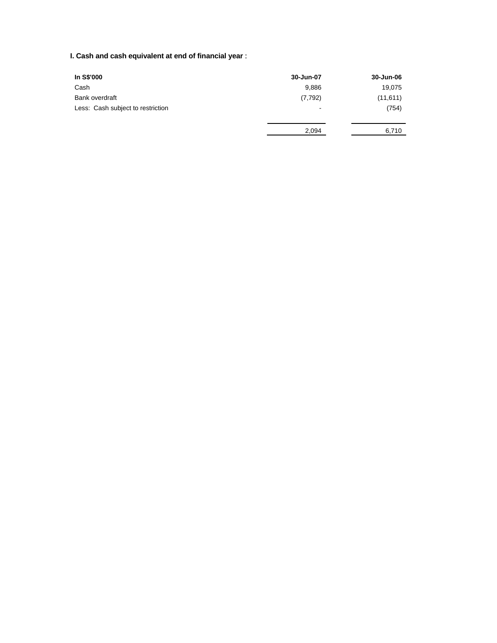# **I. Cash and cash equivalent at end of financial year** :

| In S\$'000                        | 30-Jun-07                | 30-Jun-06 |
|-----------------------------------|--------------------------|-----------|
| Cash                              | 9,886                    | 19,075    |
| Bank overdraft                    | (7, 792)                 | (11,611)  |
| Less: Cash subject to restriction | $\overline{\phantom{a}}$ | (754)     |
|                                   | 2,094                    | 6,710     |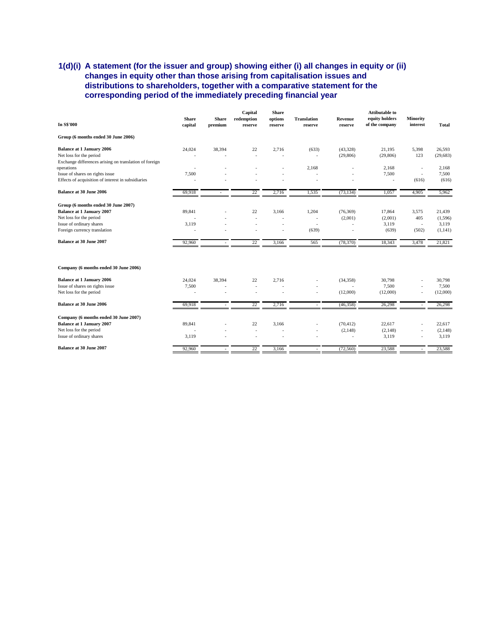## **1(d)(i) A statement (for the issuer and group) showing either (i) all changes in equity or (ii) changes in equity other than those arising from capitalisation issues and distributions to shareholders, together with a comparative statement for the corresponding period of the immediately preceding financial year**

| In S\$'000                                                                                                                                                     | <b>Share</b><br>capital | <b>Share</b><br>premium | Capital<br>redemption<br>reserve | <b>Share</b><br>options<br>reserve | <b>Translation</b><br>reserve                   | Revenue<br>reserve              | <b>Attibutable to</b><br>equity holders<br>of the company | <b>Minority</b><br>interest     | <b>Total</b>                           |
|----------------------------------------------------------------------------------------------------------------------------------------------------------------|-------------------------|-------------------------|----------------------------------|------------------------------------|-------------------------------------------------|---------------------------------|-----------------------------------------------------------|---------------------------------|----------------------------------------|
| Group (6 months ended 30 June 2006)                                                                                                                            |                         |                         |                                  |                                    |                                                 |                                 |                                                           |                                 |                                        |
| <b>Balance at 1 January 2006</b><br>Net loss for the period<br>Exchange differences arising on translation of foreign                                          | 24,024                  | 38,394                  | 22                               | 2,716                              | (633)                                           | (43,328)<br>(29, 806)           | 21,195<br>(29, 806)                                       | 5,398<br>123                    | 26,593<br>(29, 683)                    |
| operations<br>Issue of shares on rights issue<br>Effects of acquisition of interest in subsidiaries                                                            | 7,500                   |                         |                                  |                                    | 2,168                                           |                                 | 2,168<br>7,500<br>ä,                                      | $\sim$<br>(616)                 | 2,168<br>7,500<br>(616)                |
| <b>Balance at 30 June 2006</b>                                                                                                                                 | 69,918                  |                         | 22                               | 2,716                              | 1,535                                           | (73, 134)                       | 1,057                                                     | 4,905                           | 5,962                                  |
| Group (6 months ended 30 June 2007)<br><b>Balance at 1 January 2007</b><br>Net loss for the period<br>Issue of ordinary shares<br>Foreign currency translation | 89,841<br>3,119         |                         | 22<br>$\ddot{\phantom{1}}$       | 3,166                              | 1,204<br>$\overline{\phantom{a}}$<br>٠<br>(639) | (76, 369)<br>(2,001)            | 17,864<br>(2,001)<br>3,119<br>(639)                       | 3,575<br>405<br>$\sim$<br>(502) | 21,439<br>(1,596)<br>3,119<br>(1, 141) |
| <b>Balance at 30 June 2007</b>                                                                                                                                 | 92,960                  |                         | 22                               | 3,166                              | 565                                             | (78, 370)                       | 18,343                                                    | 3,478                           | 21,821                                 |
| Company (6 months ended 30 June 2006)                                                                                                                          |                         |                         |                                  |                                    |                                                 |                                 |                                                           |                                 |                                        |
| <b>Balance at 1 January 2006</b><br>Issue of shares on rights issue<br>Net loss for the period                                                                 | 24,024<br>7,500         | 38,394                  | 22<br>$\ddot{\phantom{1}}$<br>٠  | 2,716                              | ٠                                               | (34, 358)<br>$\sim$<br>(12,000) | 30,798<br>7,500<br>(12,000)                               |                                 | 30,798<br>7,500<br>(12,000)            |
| <b>Balance at 30 June 2006</b>                                                                                                                                 | 69,918                  |                         | 22                               | 2,716                              |                                                 | (46,358)                        | 26,298                                                    |                                 | 26,298                                 |
| Company (6 months ended 30 June 2007)<br><b>Balance at 1 January 2007</b><br>Net loss for the period<br>Issue of ordinary shares                               | 89,841<br>3,119         |                         | 22<br>$\overline{a}$             | 3,166                              | $\overline{a}$<br>÷                             | (70, 412)<br>(2,148)            | 22,617<br>(2,148)<br>3,119                                | $\sim$                          | 22,617<br>(2, 148)<br>3,119            |
| <b>Balance at 30 June 2007</b>                                                                                                                                 | 92,960                  |                         | 22                               | 3,166                              |                                                 | (72, 560)                       | 23,588                                                    |                                 | 23,588                                 |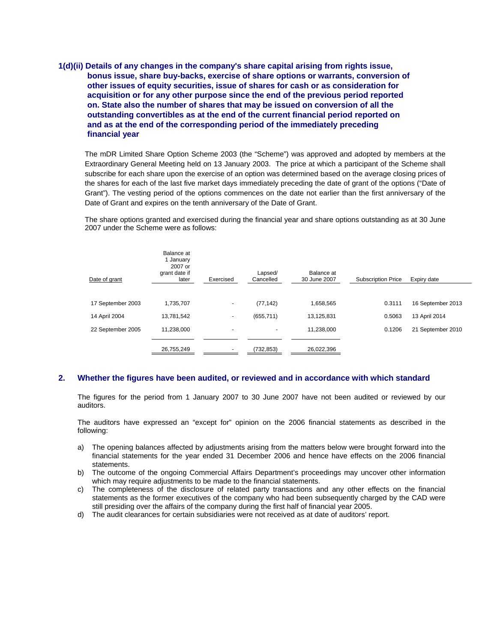**1(d)(ii) Details of any changes in the company's share capital arising from rights issue, bonus issue, share buy-backs, exercise of share options or warrants, conversion of other issues of equity securities, issue of shares for cash or as consideration for acquisition or for any other purpose since the end of the previous period reported on. State also the number of shares that may be issued on conversion of all the outstanding convertibles as at the end of the current financial period reported on and as at the end of the corresponding period of the immediately preceding financial year** 

The mDR Limited Share Option Scheme 2003 (the "Scheme") was approved and adopted by members at the Extraordinary General Meeting held on 13 January 2003. The price at which a participant of the Scheme shall subscribe for each share upon the exercise of an option was determined based on the average closing prices of the shares for each of the last five market days immediately preceding the date of grant of the options ("Date of Grant"). The vesting period of the options commences on the date not earlier than the first anniversary of the Date of Grant and expires on the tenth anniversary of the Date of Grant.

The share options granted and exercised during the financial year and share options outstanding as at 30 June 2007 under the Scheme were as follows:

| Date of grant     | Balance at<br>1 January<br>2007 or<br>grant date if<br>later | Exercised | Lapsed/<br>Cancelled | Balance at<br>30 June 2007 | <b>Subscription Price</b> | Expiry date       |
|-------------------|--------------------------------------------------------------|-----------|----------------------|----------------------------|---------------------------|-------------------|
|                   |                                                              |           |                      |                            |                           |                   |
| 17 September 2003 | 1,735,707                                                    | ۰         | (77, 142)            | 1,658,565                  | 0.3111                    | 16 September 2013 |
| 14 April 2004     | 13,781,542                                                   | ۰         | (655, 711)           | 13,125,831                 | 0.5063                    | 13 April 2014     |
| 22 September 2005 | 11,238,000                                                   | -         | ۰.                   | 11,238,000                 | 0.1206                    | 21 September 2010 |
|                   | 26,755,249                                                   | ۰         | (732,853)            | 26,022,396                 |                           |                   |

## **2. Whether the figures have been audited, or reviewed and in accordance with which standard**

The figures for the period from 1 January 2007 to 30 June 2007 have not been audited or reviewed by our auditors.

The auditors have expressed an "except for" opinion on the 2006 financial statements as described in the following:

- a) The opening balances affected by adjustments arising from the matters below were brought forward into the financial statements for the year ended 31 December 2006 and hence have effects on the 2006 financial statements.
- b) The outcome of the ongoing Commercial Affairs Department's proceedings may uncover other information which may require adjustments to be made to the financial statements.
- c) The completeness of the disclosure of related party transactions and any other effects on the financial statements as the former executives of the company who had been subsequently charged by the CAD were still presiding over the affairs of the company during the first half of financial year 2005.
- d) The audit clearances for certain subsidiaries were not received as at date of auditors' report.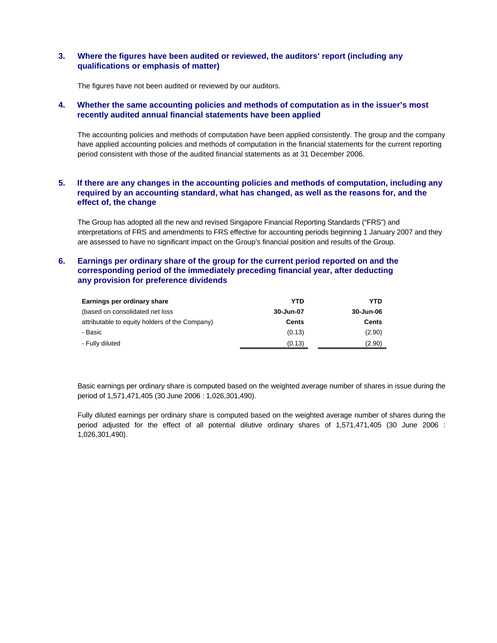## **3. Where the figures have been audited or reviewed, the auditors' report (including any qualifications or emphasis of matter)**

The figures have not been audited or reviewed by our auditors.

#### **4. Whether the same accounting policies and methods of computation as in the issuer's most recently audited annual financial statements have been applied**

The accounting policies and methods of computation have been applied consistently. The group and the company have applied accounting policies and methods of computation in the financial statements for the current reporting period consistent with those of the audited financial statements as at 31 December 2006.

## **5. If there are any changes in the accounting policies and methods of computation, including any required by an accounting standard, what has changed, as well as the reasons for, and the effect of, the change**

The Group has adopted all the new and revised Singapore Financial Reporting Standards ("FRS") and interpretations of FRS and amendments to FRS effective for accounting periods beginning 1 January 2007 and they are assessed to have no significant impact on the Group's financial position and results of the Group.

## **6. Earnings per ordinary share of the group for the current period reported on and the corresponding period of the immediately preceding financial year, after deducting any provision for preference dividends**

| Earnings per ordinary share                    | YTD          | YTD       |
|------------------------------------------------|--------------|-----------|
| (based on consolidated net loss)               | 30-Jun-07    | 30-Jun-06 |
| attributable to equity holders of the Company) | <b>Cents</b> | Cents     |
| - Basic                                        | (0.13)       | (2.90)    |
| - Fully diluted                                | (0.13)       | (2.90)    |

Basic earnings per ordinary share is computed based on the weighted average number of shares in issue during the period of 1,571,471,405 (30 June 2006 : 1,026,301,490).

Fully diluted earnings per ordinary share is computed based on the weighted average number of shares during the period adjusted for the effect of all potential dilutive ordinary shares of 1,571,471,405 (30 June 2006 : 1,026,301,490).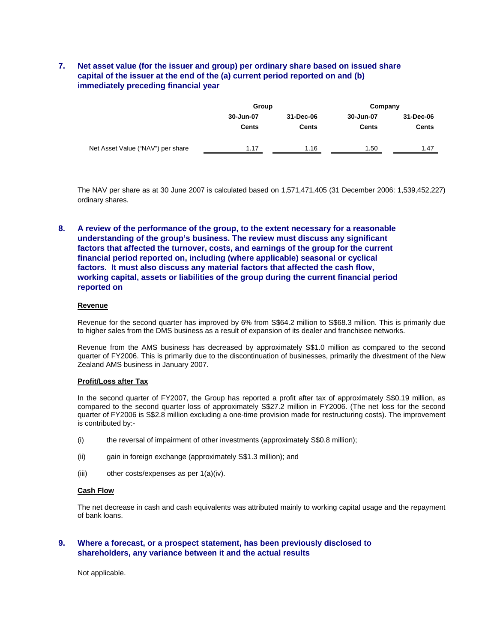## **7. Net asset value (for the issuer and group) per ordinary share based on issued share capital of the issuer at the end of the (a) current period reported on and (b) immediately preceding financial year**

|              |              | Company   |              |  |
|--------------|--------------|-----------|--------------|--|
| 30-Jun-07    | 31-Dec-06    | 30-Jun-07 | 31-Dec-06    |  |
| <b>Cents</b> | <b>Cents</b> | Cents     | <b>Cents</b> |  |
| 1.17         | 1.16         | 1.50      | 1.47         |  |
|              |              | Group     |              |  |

The NAV per share as at 30 June 2007 is calculated based on 1,571,471,405 (31 December 2006: 1,539,452,227) ordinary shares.

**8. A review of the performance of the group, to the extent necessary for a reasonable understanding of the group's business. The review must discuss any significant factors that affected the turnover, costs, and earnings of the group for the current financial period reported on, including (where applicable) seasonal or cyclical factors. It must also discuss any material factors that affected the cash flow, working capital, assets or liabilities of the group during the current financial period reported on** 

#### **Revenue**

Revenue for the second quarter has improved by 6% from S\$64.2 million to S\$68.3 million. This is primarily due to higher sales from the DMS business as a result of expansion of its dealer and franchisee networks.

Revenue from the AMS business has decreased by approximately S\$1.0 million as compared to the second quarter of FY2006. This is primarily due to the discontinuation of businesses, primarily the divestment of the New Zealand AMS business in January 2007.

#### **Profit/Loss after Tax**

In the second quarter of FY2007, the Group has reported a profit after tax of approximately S\$0.19 million, as compared to the second quarter loss of approximately S\$27.2 million in FY2006. (The net loss for the second quarter of FY2006 is S\$2.8 million excluding a one-time provision made for restructuring costs). The improvement is contributed by:-

- (i) the reversal of impairment of other investments (approximately S\$0.8 million);
- (ii) gain in foreign exchange (approximately S\$1.3 million); and
- (iii) other costs/expenses as per 1(a)(iv).

#### **Cash Flow**

The net decrease in cash and cash equivalents was attributed mainly to working capital usage and the repayment of bank loans.

## **9. Where a forecast, or a prospect statement, has been previously disclosed to shareholders, any variance between it and the actual results**

Not applicable.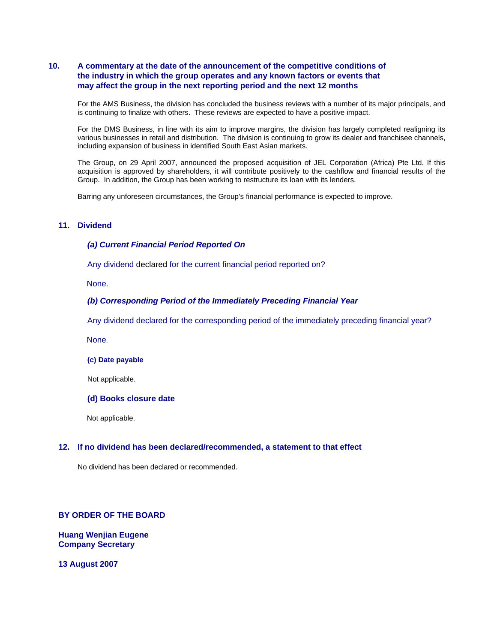## **10. A commentary at the date of the announcement of the competitive conditions of the industry in which the group operates and any known factors or events that may affect the group in the next reporting period and the next 12 months**

For the AMS Business, the division has concluded the business reviews with a number of its major principals, and is continuing to finalize with others. These reviews are expected to have a positive impact.

For the DMS Business, in line with its aim to improve margins, the division has largely completed realigning its various businesses in retail and distribution. The division is continuing to grow its dealer and franchisee channels, including expansion of business in identified South East Asian markets.

The Group, on 29 April 2007, announced the proposed acquisition of JEL Corporation (Africa) Pte Ltd. If this acquisition is approved by shareholders, it will contribute positively to the cashflow and financial results of the Group. In addition, the Group has been working to restructure its loan with its lenders.

Barring any unforeseen circumstances, the Group's financial performance is expected to improve.

### **11. Dividend**

#### *(a) Current Financial Period Reported On*

Any dividend declared for the current financial period reported on?

None.

#### *(b) Corresponding Period of the Immediately Preceding Financial Year*

Any dividend declared for the corresponding period of the immediately preceding financial year?

None.

#### **(c) Date payable**

Not applicable.

#### **(d) Books closure date**

Not applicable.

#### **12. If no dividend has been declared/recommended, a statement to that effect**

No dividend has been declared or recommended.

## **BY ORDER OF THE BOARD**

**Huang Wenjian Eugene Company Secretary** 

**13 August 2007**